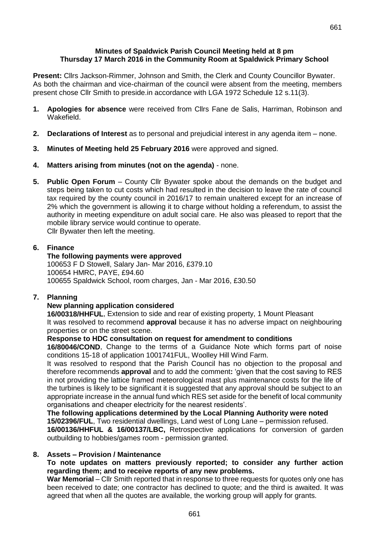#### **Minutes of Spaldwick Parish Council Meeting held at 8 pm Thursday 17 March 2016 in the Community Room at Spaldwick Primary School**

**Present:** Cllrs Jackson-Rimmer, Johnson and Smith, the Clerk and County Councillor Bywater. As both the chairman and vice-chairman of the council were absent from the meeting, members present chose Cllr Smith to preside.in accordance with LGA 1972 Schedule 12 s.11(3).

- **1. Apologies for absence** were received from Cllrs Fane de Salis, Harriman, Robinson and Wakefield.
- **2. Declarations of Interest** as to personal and prejudicial interest in any agenda item none.
- **3. Minutes of Meeting held 25 February 2016** were approved and signed.
- **4. Matters arising from minutes (not on the agenda)** none.
- **5. Public Open Forum**  County Cllr Bywater spoke about the demands on the budget and steps being taken to cut costs which had resulted in the decision to leave the rate of council tax required by the county council in 2016/17 to remain unaltered except for an increase of 2% which the government is allowing it to charge without holding a referendum, to assist the authority in meeting expenditure on adult social care. He also was pleased to report that the mobile library service would continue to operate.

Cllr Bywater then left the meeting.

## **6. Finance**

### **The following payments were approved**

100653 F D Stowell, Salary Jan- Mar 2016, £379.10 100654 HMRC, PAYE, £94.60 100655 Spaldwick School, room charges, Jan - Mar 2016, £30.50

# **7. Planning**

# **New planning application considered**

**16/00318/HHFUL**, Extension to side and rear of existing property, 1 Mount Pleasant It was resolved to recommend **approval** because it has no adverse impact on neighbouring properties or on the street scene.

### **Response to HDC consultation on request for amendment to conditions**

**16/80046/COND**, Change to the terms of a Guidance Note which forms part of noise conditions 15-18 of application 1001741FUL, Woolley Hill Wind Farm.

It was resolved to respond that the Parish Council has no objection to the proposal and therefore recommends **approval** and to add the comment**:** 'given that the cost saving to RES in not providing the lattice framed meteorological mast plus maintenance costs for the life of the turbines is likely to be significant it is suggested that any approval should be subject to an appropriate increase in the annual fund which RES set aside for the benefit of local community organisations and cheaper electricity for the nearest residents'.

# **The following applications determined by the Local Planning Authority were noted**

**15/02396/FUL**, Two residential dwellings, Land west of Long Lane – permission refused. **16/00136/HHFUL & 16/00137/LBC,** [Retrospective applications](http://publicaccess.huntingdonshire.gov.uk/online-applications/applicationDetails.do?activeTab=summary&keyVal=O1CUYPIKL2Q00) for conversion of garden [outbuilding to hobbies/games room -](http://publicaccess.huntingdonshire.gov.uk/online-applications/applicationDetails.do?activeTab=summary&keyVal=O1CUYPIKL2Q00) permission granted.

### **8. Assets – Provision / Maintenance**

### **To note updates on matters previously reported; to consider any further action regarding them; and to receive reports of any new problems.**

**War Memorial** – Cllr Smith reported that in response to three requests for quotes only one has been received to date; one contractor has declined to quote; and the third is awaited. It was agreed that when all the quotes are available, the working group will apply for grants.